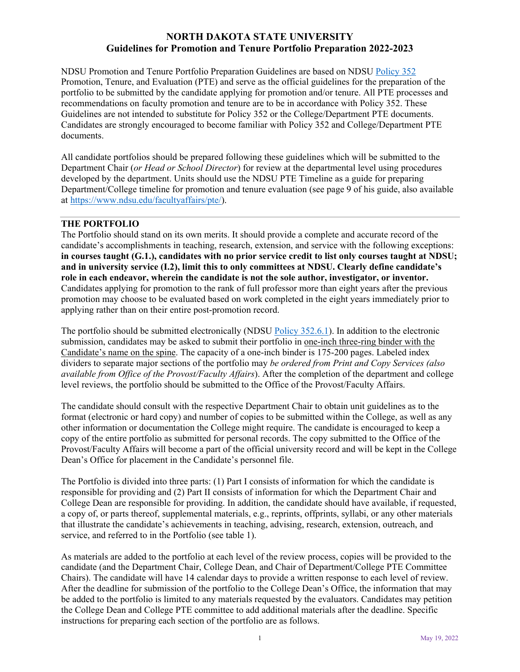NDSU Promotion and Tenure Portfolio Preparation Guidelines are based on NDSU Policy 352 Promotion, Tenure, and Evaluation (PTE) and serve as the official guidelines for the preparation of the portfolio to be submitted by the candidate applying for promotion and/or tenure. All PTE processes and recommendations on faculty promotion and tenure are to be in accordance with Policy 352. These Guidelines are not intended to substitute for Policy 352 or the College/Department PTE documents. Candidates are strongly encouraged to become familiar with Policy 352 and College/Department PTE documents.

All candidate portfolios should be prepared following these guidelines which will be submitted to the Department Chair (*or Head or School Director*) for review at the departmental level using procedures developed by the department. Units should use the NDSU PTE Timeline as a guide for preparing Department/College timeline for promotion and tenure evaluation (see page 9 of his guide, also available at https://www.ndsu.edu/facultyaffairs/pte/).

#### **THE PORTFOLIO**

The Portfolio should stand on its own merits. It should provide a complete and accurate record of the candidate's accomplishments in teaching, research, extension, and service with the following exceptions: **in courses taught (G.1.), candidates with no prior service credit to list only courses taught at NDSU; and in university service (I.2), limit this to only committees at NDSU. Clearly define candidate's role in each endeavor, wherein the candidate is not the sole author, investigator, or inventor.**  Candidates applying for promotion to the rank of full professor more than eight years after the previous promotion may choose to be evaluated based on work completed in the eight years immediately prior to applying rather than on their entire post-promotion record.

The portfolio should be submitted electronically (NDSU Policy 352.6.1). In addition to the electronic submission, candidates may be asked to submit their portfolio in one-inch three-ring binder with the Candidate's name on the spine. The capacity of a one-inch binder is 175-200 pages. Labeled index dividers to separate major sections of the portfolio may *be ordered from Print and Copy Services (also available from Office of the Provost/Faculty Affairs*). After the completion of the department and college level reviews, the portfolio should be submitted to the Office of the Provost/Faculty Affairs.

The candidate should consult with the respective Department Chair to obtain unit guidelines as to the format (electronic or hard copy) and number of copies to be submitted within the College, as well as any other information or documentation the College might require. The candidate is encouraged to keep a copy of the entire portfolio as submitted for personal records. The copy submitted to the Office of the Provost/Faculty Affairs will become a part of the official university record and will be kept in the College Dean's Office for placement in the Candidate's personnel file.

The Portfolio is divided into three parts: (1) Part I consists of information for which the candidate is responsible for providing and (2) Part II consists of information for which the Department Chair and College Dean are responsible for providing. In addition, the candidate should have available, if requested, a copy of, or parts thereof, supplemental materials, e.g., reprints, offprints, syllabi, or any other materials that illustrate the candidate's achievements in teaching, advising, research, extension, outreach, and service, and referred to in the Portfolio (see table 1).

As materials are added to the portfolio at each level of the review process, copies will be provided to the candidate (and the Department Chair, College Dean, and Chair of Department/College PTE Committee Chairs). The candidate will have 14 calendar days to provide a written response to each level of review. After the deadline for submission of the portfolio to the College Dean's Office, the information that may be added to the portfolio is limited to any materials requested by the evaluators. Candidates may petition the College Dean and College PTE committee to add additional materials after the deadline. Specific instructions for preparing each section of the portfolio are as follows.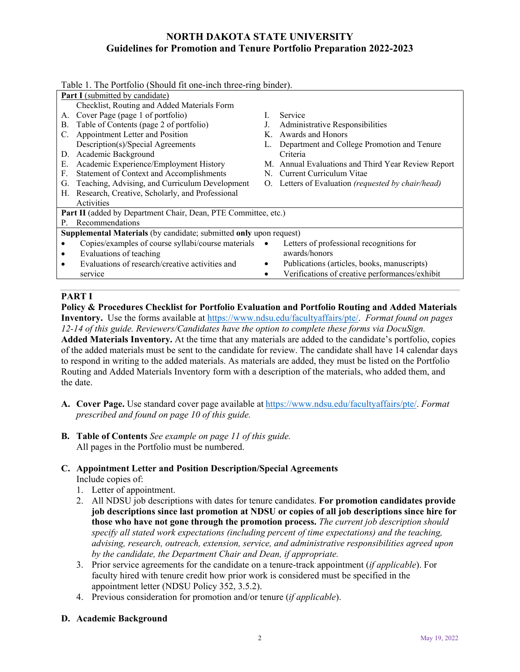|    | Table 1. The Portfolio (Should fit one-inch three-ring binder).    |           |                                                    |
|----|--------------------------------------------------------------------|-----------|----------------------------------------------------|
|    | <b>Part I</b> (submitted by candidate)                             |           |                                                    |
|    | Checklist, Routing and Added Materials Form                        |           |                                                    |
| А. | Cover Page (page 1 of portfolio)                                   |           | Service                                            |
| В. | Table of Contents (page 2 of portfolio)                            |           | Administrative Responsibilities                    |
| C. | Appointment Letter and Position                                    | K.        | Awards and Honors                                  |
|    | Description(s)/Special Agreements                                  |           | Department and College Promotion and Tenure        |
| D. | Academic Background                                                |           | Criteria                                           |
| Е. | Academic Experience/Employment History                             |           | M. Annual Evaluations and Third Year Review Report |
| F. | Statement of Context and Accomplishments                           | N.        | Current Curriculum Vitae                           |
| G. | Teaching, Advising, and Curriculum Development                     |           | O. Letters of Evaluation (requested by chair/head) |
| Н. | Research, Creative, Scholarly, and Professional                    |           |                                                    |
|    | Activities                                                         |           |                                                    |
|    | Part II (added by Department Chair, Dean, PTE Committee, etc.)     |           |                                                    |
| P. | Recommendations                                                    |           |                                                    |
|    | Supplemental Materials (by candidate; submitted only upon request) |           |                                                    |
|    | Copies/examples of course syllabi/course materials                 | $\bullet$ | Letters of professional recognitions for           |
| ٠  | Evaluations of teaching                                            |           | awards/honors                                      |
|    | Evaluations of research/creative activities and                    | ٠         | Publications (articles, books, manuscripts)        |
|    | service                                                            | ٠         | Verifications of creative performances/exhibit     |
|    |                                                                    |           |                                                    |

### **PART I**

**Policy & Procedures Checklist for Portfolio Evaluation and Portfolio Routing and Added Materials Inventory.** Use the forms available at https://www.ndsu.edu/facultyaffairs/pte/. *Format found on pages 12-14 of this guide. Reviewers/Candidates have the option to complete these forms via DocuSign.*  **Added Materials Inventory.** At the time that any materials are added to the candidate's portfolio, copies of the added materials must be sent to the candidate for review. The candidate shall have 14 calendar days to respond in writing to the added materials. As materials are added, they must be listed on the Portfolio Routing and Added Materials Inventory form with a description of the materials, who added them, and the date.

- **A. Cover Page.** Use standard cover page available at https://www.ndsu.edu/facultyaffairs/pte/. *Format prescribed and found on page 10 of this guide.*
- **B. Table of Contents** *See example on page 11 of this guide.* All pages in the Portfolio must be numbered.

# **C. Appointment Letter and Position Description/Special Agreements**

Include copies of:

- 1. Letter of appointment.
- 2. All NDSU job descriptions with dates for tenure candidates. **For promotion candidates provide job descriptions since last promotion at NDSU or copies of all job descriptions since hire for those who have not gone through the promotion process.** *The current job description should specify all stated work expectations (including percent of time expectations) and the teaching, advising, research, outreach, extension, service, and administrative responsibilities agreed upon by the candidate, the Department Chair and Dean, if appropriate.*
- 3. Prior service agreements for the candidate on a tenure-track appointment (*if applicable*). For faculty hired with tenure credit how prior work is considered must be specified in the appointment letter (NDSU Policy 352, 3.5.2).
- 4. Previous consideration for promotion and/or tenure (*if applicable*).

### **D. Academic Background**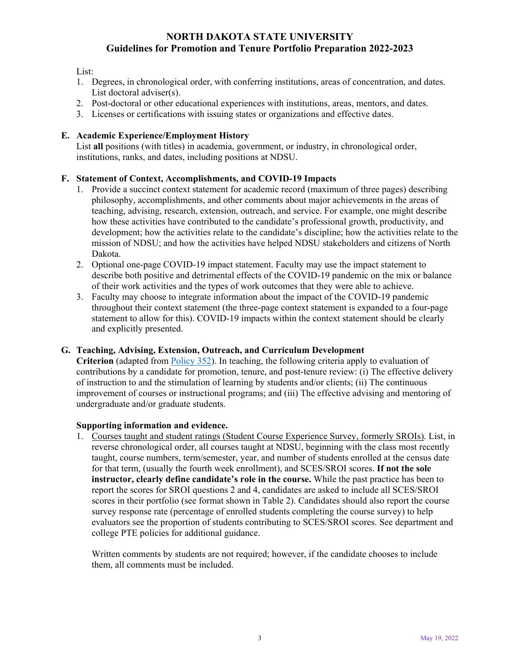#### List:

- 1. Degrees, in chronological order, with conferring institutions, areas of concentration, and dates. List doctoral adviser(s).
- 2. Post-doctoral or other educational experiences with institutions, areas, mentors, and dates.
- 3. Licenses or certifications with issuing states or organizations and effective dates.

#### **E. Academic Experience/Employment History**

List **all** positions (with titles) in academia, government, or industry, in chronological order, institutions, ranks, and dates, including positions at NDSU.

#### **F. Statement of Context, Accomplishments, and COVID-19 Impacts**

- 1. Provide a succinct context statement for academic record (maximum of three pages) describing philosophy, accomplishments, and other comments about major achievements in the areas of teaching, advising, research, extension, outreach, and service. For example, one might describe how these activities have contributed to the candidate's professional growth, productivity, and development; how the activities relate to the candidate's discipline; how the activities relate to the mission of NDSU; and how the activities have helped NDSU stakeholders and citizens of North Dakota.
- 2. Optional one-page COVID-19 impact statement. Faculty may use the impact statement to describe both positive and detrimental effects of the COVID-19 pandemic on the mix or balance of their work activities and the types of work outcomes that they were able to achieve.
- 3. Faculty may choose to integrate information about the impact of the COVID-19 pandemic throughout their context statement (the three-page context statement is expanded to a four-page statement to allow for this). COVID-19 impacts within the context statement should be clearly and explicitly presented.

#### **G. Teaching, Advising, Extension, Outreach, and Curriculum Development**

**Criterion** (adapted from Policy 352). In teaching, the following criteria apply to evaluation of contributions by a candidate for promotion, tenure, and post-tenure review: (i) The effective delivery of instruction to and the stimulation of learning by students and/or clients; (ii) The continuous improvement of courses or instructional programs; and (iii) The effective advising and mentoring of undergraduate and/or graduate students.

#### **Supporting information and evidence.**

1. Courses taught and student ratings (Student Course Experience Survey, formerly SROIs). List, in reverse chronological order, all courses taught at NDSU, beginning with the class most recently taught, course numbers, term/semester, year, and number of students enrolled at the census date for that term, (usually the fourth week enrollment), and SCES/SROI scores. **If not the sole instructor, clearly define candidate's role in the course.** While the past practice has been to report the scores for SROI questions 2 and 4, candidates are asked to include all SCES/SROI scores in their portfolio (see format shown in Table 2). Candidates should also report the course survey response rate (percentage of enrolled students completing the course survey) to help evaluators see the proportion of students contributing to SCES/SROI scores. See department and college PTE policies for additional guidance.

Written comments by students are not required; however, if the candidate chooses to include them, all comments must be included.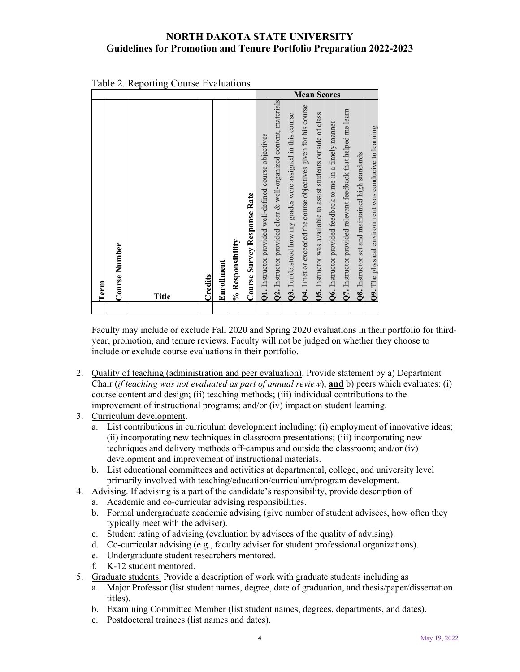| <b>Q2.</b> Instructor provided clear & well-organized content, materials<br><b>Q4.</b> I met or exceeded the course objectives given for his course<br>Q7. Instructor provided relevant feedback that helped me learn<br>Q5. Instructor was available to assist students outside of class<br><b>Q3.</b> I understood how my grades were assigned in this course<br>Q6. Instructor provided feedback to me in a timely manner<br><b>Q9.</b> The physical environment was conducive to learning<br><b>Q1.</b> Instructor provided well-defined course objectives<br>Q8. Instructor set and maintained high standards<br><b>Course Survey Response Rate</b><br>% Responsibility<br><b>Course Number</b><br>Enrollment<br>Credits<br>Term<br>Title |
|------------------------------------------------------------------------------------------------------------------------------------------------------------------------------------------------------------------------------------------------------------------------------------------------------------------------------------------------------------------------------------------------------------------------------------------------------------------------------------------------------------------------------------------------------------------------------------------------------------------------------------------------------------------------------------------------------------------------------------------------|
|                                                                                                                                                                                                                                                                                                                                                                                                                                                                                                                                                                                                                                                                                                                                                |

|  |  |  | Table 2. Reporting Course Evaluations |
|--|--|--|---------------------------------------|
|--|--|--|---------------------------------------|

Faculty may include or exclude Fall 2020 and Spring 2020 evaluations in their portfolio for thirdyear, promotion, and tenure reviews. Faculty will not be judged on whether they choose to include or exclude course evaluations in their portfolio.

- 2. Quality of teaching (administration and peer evaluation). Provide statement by a) Department Chair (*if teaching was not evaluated as part of annual review*), **and** b) peers which evaluates: (i) course content and design; (ii) teaching methods; (iii) individual contributions to the improvement of instructional programs; and/or (iv) impact on student learning.
- 3. Curriculum development.
	- a. List contributions in curriculum development including: (i) employment of innovative ideas; (ii) incorporating new techniques in classroom presentations; (iii) incorporating new techniques and delivery methods off-campus and outside the classroom; and/or (iv) development and improvement of instructional materials.
	- b. List educational committees and activities at departmental, college, and university level primarily involved with teaching/education/curriculum/program development.
- 4. Advising. If advising is a part of the candidate's responsibility, provide description of
	- a. Academic and co-curricular advising responsibilities.
	- b. Formal undergraduate academic advising (give number of student advisees, how often they typically meet with the adviser).
	- c. Student rating of advising (evaluation by advisees of the quality of advising).
	- d. Co-curricular advising (e.g., faculty adviser for student professional organizations).
	- e. Undergraduate student researchers mentored.
	- f. K-12 student mentored.
- 5. Graduate students. Provide a description of work with graduate students including as
	- a. Major Professor (list student names, degree, date of graduation, and thesis/paper/dissertation titles).
	- b. Examining Committee Member (list student names, degrees, departments, and dates).
	- c. Postdoctoral trainees (list names and dates).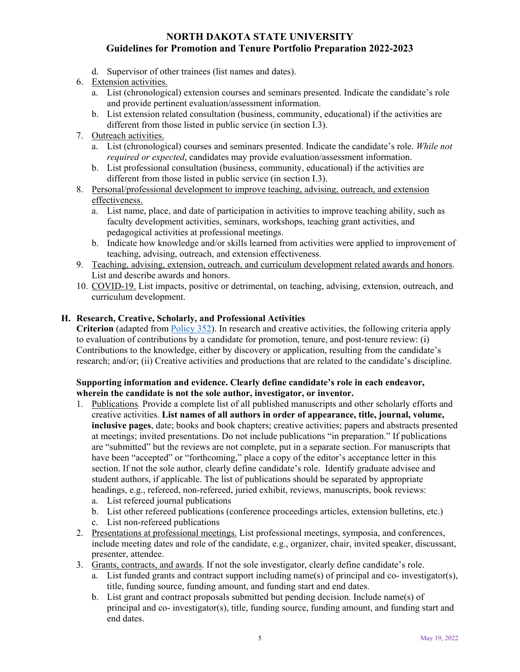- d. Supervisor of other trainees (list names and dates).
- 6. Extension activities.
	- a. List (chronological) extension courses and seminars presented. Indicate the candidate's role and provide pertinent evaluation/assessment information.
	- b. List extension related consultation (business, community, educational) if the activities are different from those listed in public service (in section I.3).
- 7. Outreach activities.
	- a. List (chronological) courses and seminars presented. Indicate the candidate's role. *While not required or expected*, candidates may provide evaluation/assessment information.
	- b. List professional consultation (business, community, educational) if the activities are different from those listed in public service (in section I.3).
- 8. Personal/professional development to improve teaching, advising, outreach, and extension effectiveness.
	- a. List name, place, and date of participation in activities to improve teaching ability, such as faculty development activities, seminars, workshops, teaching grant activities, and pedagogical activities at professional meetings.
	- b. Indicate how knowledge and/or skills learned from activities were applied to improvement of teaching, advising, outreach, and extension effectiveness.
- 9. Teaching, advising, extension, outreach, and curriculum development related awards and honors. List and describe awards and honors.
- 10. COVID-19. List impacts, positive or detrimental, on teaching, advising, extension, outreach, and curriculum development.

#### **H. Research, Creative, Scholarly, and Professional Activities**

**Criterion** (adapted from Policy 352). In research and creative activities, the following criteria apply to evaluation of contributions by a candidate for promotion, tenure, and post-tenure review: (i) Contributions to the knowledge, either by discovery or application, resulting from the candidate's research; and/or; (ii) Creative activities and productions that are related to the candidate's discipline.

#### **Supporting information and evidence. Clearly define candidate's role in each endeavor, wherein the candidate is not the sole author, investigator, or inventor.**

- 1. Publications*.* Provide a complete list of all published manuscripts and other scholarly efforts and creative activities. **List names of all authors in order of appearance, title, journal, volume, inclusive pages**, date; books and book chapters; creative activities; papers and abstracts presented at meetings; invited presentations. Do not include publications "in preparation." If publications are "submitted" but the reviews are not complete, put in a separate section. For manuscripts that have been "accepted" or "forthcoming," place a copy of the editor's acceptance letter in this section. If not the sole author, clearly define candidate's role. Identify graduate advisee and student authors, if applicable. The list of publications should be separated by appropriate headings, e.g., refereed, non-refereed, juried exhibit, reviews, manuscripts, book reviews:
	- a. List refereed journal publications
	- b. List other refereed publications (conference proceedings articles, extension bulletins, etc.)
	- c. List non-refereed publications
- 2. Presentations at professional meetings. List professional meetings, symposia, and conferences, include meeting dates and role of the candidate, e.g., organizer, chair, invited speaker, discussant, presenter, attendee.
- 3. Grants, contracts, and awards. If not the sole investigator, clearly define candidate's role.
	- a. List funded grants and contract support including name(s) of principal and co- investigator(s), title, funding source, funding amount, and funding start and end dates.
	- b. List grant and contract proposals submitted but pending decision. Include name(s) of principal and co- investigator(s), title, funding source, funding amount, and funding start and end dates.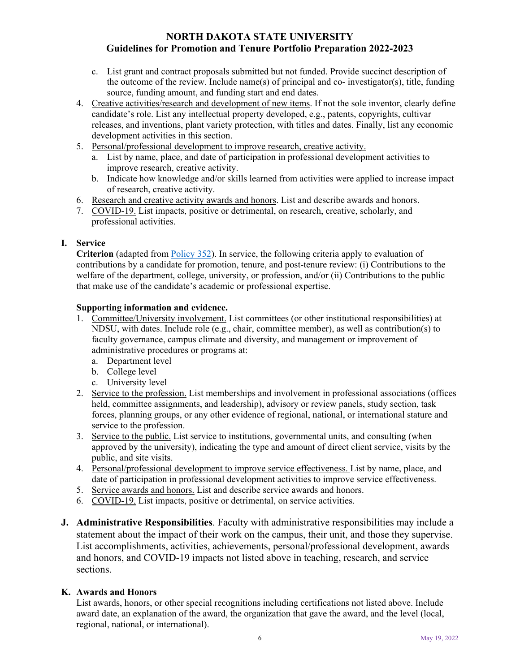- c. List grant and contract proposals submitted but not funded. Provide succinct description of the outcome of the review. Include name(s) of principal and co- investigator(s), title, funding source, funding amount, and funding start and end dates.
- 4. Creative activities/research and development of new items. If not the sole inventor, clearly define candidate's role. List any intellectual property developed, e.g., patents, copyrights, cultivar releases, and inventions, plant variety protection, with titles and dates. Finally, list any economic development activities in this section.
- 5. Personal/professional development to improve research, creative activity.
	- a. List by name, place, and date of participation in professional development activities to improve research, creative activity.
	- b. Indicate how knowledge and/or skills learned from activities were applied to increase impact of research, creative activity.
- 6. Research and creative activity awards and honors. List and describe awards and honors.
- 7. COVID-19. List impacts, positive or detrimental, on research, creative, scholarly, and professional activities.

#### **I. Service**

**Criterion** (adapted from Policy 352). In service, the following criteria apply to evaluation of contributions by a candidate for promotion, tenure, and post-tenure review: (i) Contributions to the welfare of the department, college, university, or profession, and/or (ii) Contributions to the public that make use of the candidate's academic or professional expertise.

#### **Supporting information and evidence.**

- 1. Committee/University involvement. List committees (or other institutional responsibilities) at NDSU, with dates. Include role (e.g., chair, committee member), as well as contribution(s) to faculty governance, campus climate and diversity, and management or improvement of administrative procedures or programs at:
	- a. Department level
	- b. College level
	- c. University level
- 2. Service to the profession. List memberships and involvement in professional associations (offices held, committee assignments, and leadership), advisory or review panels, study section, task forces, planning groups, or any other evidence of regional, national, or international stature and service to the profession.
- 3. Service to the public. List service to institutions, governmental units, and consulting (when approved by the university), indicating the type and amount of direct client service, visits by the public, and site visits.
- 4. Personal/professional development to improve service effectiveness. List by name, place, and date of participation in professional development activities to improve service effectiveness.
- 5. Service awards and honors. List and describe service awards and honors.
- 6. COVID-19. List impacts, positive or detrimental, on service activities.
- **J. Administrative Responsibilities**. Faculty with administrative responsibilities may include a statement about the impact of their work on the campus, their unit, and those they supervise. List accomplishments, activities, achievements, personal/professional development, awards and honors, and COVID-19 impacts not listed above in teaching, research, and service sections.

#### **K. Awards and Honors**

List awards, honors, or other special recognitions including certifications not listed above. Include award date, an explanation of the award, the organization that gave the award, and the level (local, regional, national, or international).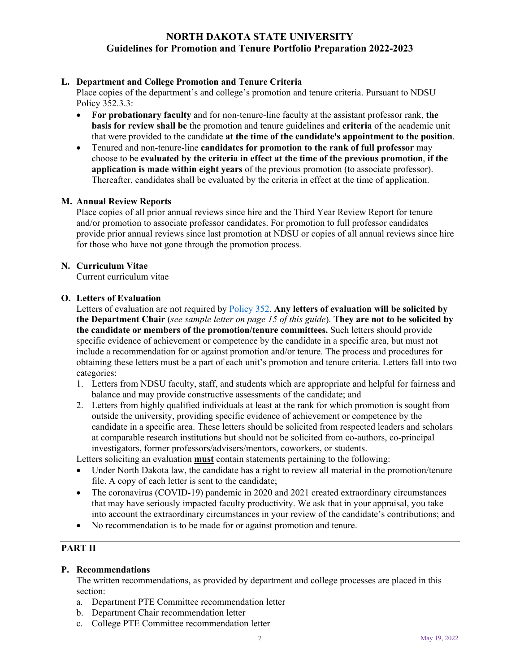#### **L. Department and College Promotion and Tenure Criteria**

Place copies of the department's and college's promotion and tenure criteria. Pursuant to NDSU Policy 352.3.3:

- **For probationary faculty** and for non-tenure-line faculty at the assistant professor rank, **the basis for review shall be** the promotion and tenure guidelines and **criteria** of the academic unit that were provided to the candidate **at the time of the candidate's appointment to the position**.
- Tenured and non-tenure-line **candidates for promotion to the rank of full professor** may choose to be **evaluated by the criteria in effect at the time of the previous promotion**, **if the application is made within eight years** of the previous promotion (to associate professor). Thereafter, candidates shall be evaluated by the criteria in effect at the time of application.

#### **M. Annual Review Reports**

Place copies of all prior annual reviews since hire and the Third Year Review Report for tenure and/or promotion to associate professor candidates. For promotion to full professor candidates provide prior annual reviews since last promotion at NDSU or copies of all annual reviews since hire for those who have not gone through the promotion process.

#### **N. Curriculum Vitae**

Current curriculum vitae

#### **O. Letters of Evaluation**

Letters of evaluation are not required by Policy 352. **Any letters of evaluation will be solicited by the Department Chair** (*see sample letter on page 15 of this guide*). **They are not to be solicited by the candidate or members of the promotion/tenure committees.** Such letters should provide specific evidence of achievement or competence by the candidate in a specific area, but must not include a recommendation for or against promotion and/or tenure. The process and procedures for obtaining these letters must be a part of each unit's promotion and tenure criteria. Letters fall into two categories:

- 1. Letters from NDSU faculty, staff, and students which are appropriate and helpful for fairness and balance and may provide constructive assessments of the candidate; and
- 2. Letters from highly qualified individuals at least at the rank for which promotion is sought from outside the university, providing specific evidence of achievement or competence by the candidate in a specific area. These letters should be solicited from respected leaders and scholars at comparable research institutions but should not be solicited from co-authors, co-principal investigators, former professors/advisers/mentors, coworkers, or students.

Letters soliciting an evaluation **must** contain statements pertaining to the following:

- Under North Dakota law, the candidate has a right to review all material in the promotion/tenure file. A copy of each letter is sent to the candidate;
- The coronavirus (COVID-19) pandemic in 2020 and 2021 created extraordinary circumstances that may have seriously impacted faculty productivity. We ask that in your appraisal, you take into account the extraordinary circumstances in your review of the candidate's contributions; and
- No recommendation is to be made for or against promotion and tenure.

# **PART II**

#### **P. Recommendations**

The written recommendations, as provided by department and college processes are placed in this section:

- a. Department PTE Committee recommendation letter
- b. Department Chair recommendation letter
- c. College PTE Committee recommendation letter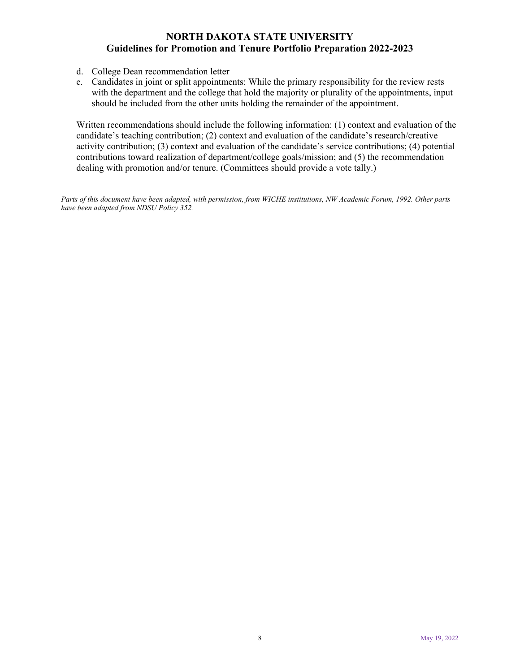- d. College Dean recommendation letter
- e. Candidates in joint or split appointments: While the primary responsibility for the review rests with the department and the college that hold the majority or plurality of the appointments, input should be included from the other units holding the remainder of the appointment.

Written recommendations should include the following information: (1) context and evaluation of the candidate's teaching contribution; (2) context and evaluation of the candidate's research/creative activity contribution; (3) context and evaluation of the candidate's service contributions; (4) potential contributions toward realization of department/college goals/mission; and (5) the recommendation dealing with promotion and/or tenure. (Committees should provide a vote tally.)

*Parts of this document have been adapted, with permission, from WICHE institutions, NW Academic Forum, 1992. Other parts have been adapted from NDSU Policy 352.*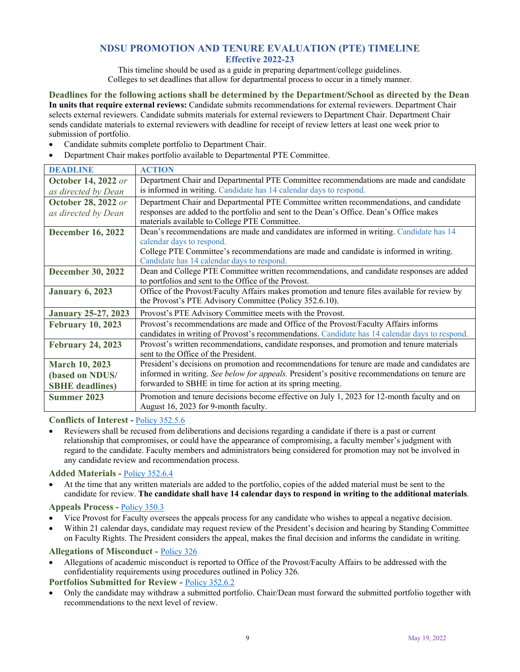# **NDSU PROMOTION AND TENURE EVALUATION (PTE) TIMELINE**

**Effective 2022-23** 

This timeline should be used as a guide in preparing department/college guidelines. Colleges to set deadlines that allow for departmental process to occur in a timely manner.

**Deadlines for the following actions shall be determined by the Department/School as directed by the Dean In units that require external reviews:** Candidate submits recommendations for external reviewers. Department Chair selects external reviewers. Candidate submits materials for external reviewers to Department Chair. Department Chair sends candidate materials to external reviewers with deadline for receipt of review letters at least one week prior to submission of portfolio.

- Candidate submits complete portfolio to Department Chair.
- Department Chair makes portfolio available to Departmental PTE Committee.

| <b>DEADLINE</b>            | <b>ACTION</b>                                                                                  |
|----------------------------|------------------------------------------------------------------------------------------------|
| <b>October 14, 2022 or</b> | Department Chair and Departmental PTE Committee recommendations are made and candidate         |
| as directed by Dean        | is informed in writing. Candidate has 14 calendar days to respond.                             |
| <b>October 28, 2022 or</b> | Department Chair and Departmental PTE Committee written recommendations, and candidate         |
| as directed by Dean        | responses are added to the portfolio and sent to the Dean's Office. Dean's Office makes        |
|                            | materials available to College PTE Committee.                                                  |
| <b>December 16, 2022</b>   | Dean's recommendations are made and candidates are informed in writing. Candidate has 14       |
|                            | calendar days to respond.                                                                      |
|                            | College PTE Committee's recommendations are made and candidate is informed in writing.         |
|                            | Candidate has 14 calendar days to respond.                                                     |
| <b>December 30, 2022</b>   | Dean and College PTE Committee written recommendations, and candidate responses are added      |
|                            | to portfolios and sent to the Office of the Provost.                                           |
| <b>January 6, 2023</b>     | Office of the Provost/Faculty Affairs makes promotion and tenure files available for review by |
|                            | the Provost's PTE Advisory Committee (Policy 352.6.10).                                        |
| <b>January 25-27, 2023</b> | Provost's PTE Advisory Committee meets with the Provost.                                       |
| <b>February 10, 2023</b>   | Provost's recommendations are made and Office of the Provost/Faculty Affairs informs           |
|                            | candidates in writing of Provost's recommendations. Candidate has 14 calendar days to respond. |
| <b>February 24, 2023</b>   | Provost's written recommendations, candidate responses, and promotion and tenure materials     |
|                            | sent to the Office of the President.                                                           |
| <b>March 10, 2023</b>      | President's decisions on promotion and recommendations for tenure are made and candidates are  |
| (based on NDUS/            | informed in writing. See below for appeals. President's positive recommendations on tenure are |
| <b>SBHE</b> deadlines)     | forwarded to SBHE in time for action at its spring meeting.                                    |
| <b>Summer 2023</b>         | Promotion and tenure decisions become effective on July 1, 2023 for 12-month faculty and on    |
|                            | August 16, 2023 for 9-month faculty.                                                           |

#### **Conflicts of Interest -** Policy 352.5.6

 Reviewers shall be recused from deliberations and decisions regarding a candidate if there is a past or current relationship that compromises, or could have the appearance of compromising, a faculty member's judgment with regard to the candidate. Faculty members and administrators being considered for promotion may not be involved in any candidate review and recommendation process.

#### **Added Materials -** Policy 352.6.4

 At the time that any written materials are added to the portfolio, copies of the added material must be sent to the candidate for review. **The candidate shall have 14 calendar days to respond in writing to the additional materials**.

#### **Appeals Process -** Policy 350.3

- Vice Provost for Faculty oversees the appeals process for any candidate who wishes to appeal a negative decision.
- Within 21 calendar days, candidate may request review of the President's decision and hearing by Standing Committee on Faculty Rights. The President considers the appeal, makes the final decision and informs the candidate in writing.

#### **Allegations of Misconduct -** Policy 326

 Allegations of academic misconduct is reported to Office of the Provost/Faculty Affairs to be addressed with the confidentiality requirements using procedures outlined in Policy 326.

#### **Portfolios Submitted for Review -** Policy 352.6.2

 Only the candidate may withdraw a submitted portfolio. Chair/Dean must forward the submitted portfolio together with recommendations to the next level of review.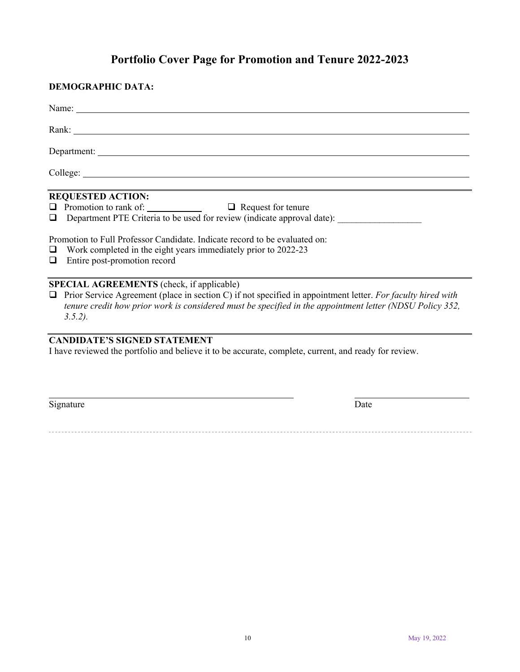# **Portfolio Cover Page for Promotion and Tenure 2022-2023**

| <b>DEMOGRAPHIC DATA:</b>                                                                                                                                                                                                                                                                                                                                                           |
|------------------------------------------------------------------------------------------------------------------------------------------------------------------------------------------------------------------------------------------------------------------------------------------------------------------------------------------------------------------------------------|
|                                                                                                                                                                                                                                                                                                                                                                                    |
| Rank: New York and the Community of the Community of the Community of the Community of the Community of the Community of the Community of the Community of the Community of the Community of the Community of the Community of                                                                                                                                                     |
|                                                                                                                                                                                                                                                                                                                                                                                    |
|                                                                                                                                                                                                                                                                                                                                                                                    |
| <b>REQUESTED ACTION:</b><br>$\Box$ Promotion to rank of: $\Box$ $\Box$ Request for tenure<br>Department PTE Criteria to be used for review (indicate approval date):<br>$\Box$<br>Promotion to Full Professor Candidate. Indicate record to be evaluated on:<br>Work completed in the eight years immediately prior to 2022-23<br>$\Box$<br>Entire post-promotion record<br>$\Box$ |
| SPECIAL AGREEMENTS (check, if applicable)<br>$\Box$ Prior Service Agreement (place in section C) if not specified in appointment letter. For faculty hired with<br>tenure credit how prior work is considered must be specified in the appointment letter (NDSU Policy 352,<br>$3.5.2$ ).                                                                                          |
| <b>CANDIDATE'S SIGNED STATEMENT</b><br>I have reviewed the portfolio and believe it to be accurate, complete, current, and ready for review.                                                                                                                                                                                                                                       |
| Signature<br>Date                                                                                                                                                                                                                                                                                                                                                                  |
|                                                                                                                                                                                                                                                                                                                                                                                    |
|                                                                                                                                                                                                                                                                                                                                                                                    |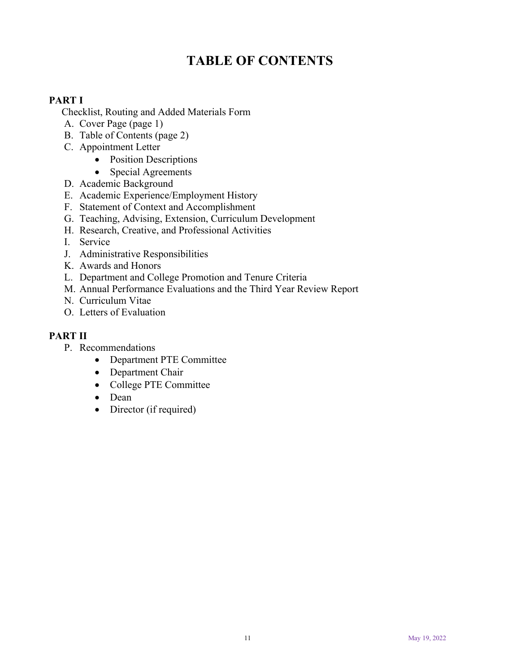# **TABLE OF CONTENTS**

# **PART I**

Checklist, Routing and Added Materials Form

- A. Cover Page (page 1)
- B. Table of Contents (page 2)
- C. Appointment Letter
	- Position Descriptions
	- Special Agreements
- D. Academic Background
- E. Academic Experience/Employment History
- F. Statement of Context and Accomplishment
- G. Teaching, Advising, Extension, Curriculum Development
- H. Research, Creative, and Professional Activities
- I. Service
- J. Administrative Responsibilities
- K. Awards and Honors
- L. Department and College Promotion and Tenure Criteria
- M. Annual Performance Evaluations and the Third Year Review Report
- N. Curriculum Vitae
- O. Letters of Evaluation

# **PART II**

- P. Recommendations
	- Department PTE Committee
	- Department Chair
	- College PTE Committee
	- Dean
	- Director (if required)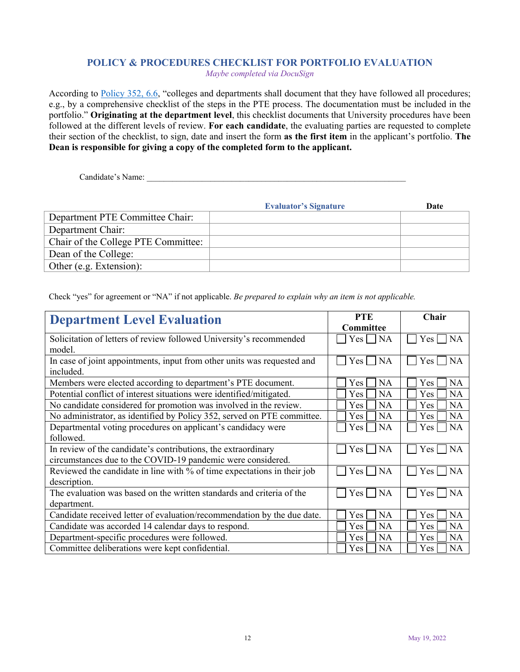# **POLICY & PROCEDURES CHECKLIST FOR PORTFOLIO EVALUATION**

*Maybe completed via DocuSign* 

According to Policy 352, 6.6, "colleges and departments shall document that they have followed all procedures; e.g., by a comprehensive checklist of the steps in the PTE process. The documentation must be included in the portfolio." **Originating at the department level**, this checklist documents that University procedures have been followed at the different levels of review. **For each candidate**, the evaluating parties are requested to complete their section of the checklist, to sign, date and insert the form **as the first item** in the applicant's portfolio. **The Dean is responsible for giving a copy of the completed form to the applicant.** 

Candidate's Name:

|                                     | <b>Evaluator's Signature</b> | Date |
|-------------------------------------|------------------------------|------|
| Department PTE Committee Chair:     |                              |      |
| Department Chair:                   |                              |      |
| Chair of the College PTE Committee: |                              |      |
| Dean of the College:                |                              |      |
| Other (e.g. Extension):             |                              |      |

Check "yes" for agreement or "NA" if not applicable. *Be prepared to explain why an item is not applicable.* 

| <b>Department Level Evaluation</b>                                      | <b>PTE</b>                    | Chair                         |  |
|-------------------------------------------------------------------------|-------------------------------|-------------------------------|--|
|                                                                         | <b>Committee</b>              |                               |  |
| Solicitation of letters of review followed University's recommended     | $Yes \mid \text{NA}$          | <b>NA</b><br>Yes              |  |
| model.                                                                  |                               |                               |  |
| In case of joint appointments, input from other units was requested and | <b>NA</b><br>Yes l            | <b>NA</b><br>Yes              |  |
| included.                                                               |                               |                               |  |
| Members were elected according to department's PTE document.            | <b>NA</b><br>Yes              | <b>NA</b><br><b>Yes</b>       |  |
| Potential conflict of interest situations were identified/mitigated.    | <b>NA</b><br>Yes.             | NA.<br><b>Yes</b>             |  |
| No candidate considered for promotion was involved in the review.       | <b>NA</b><br><b>Yes</b>       | <b>NA</b><br>Yes              |  |
| No administrator, as identified by Policy 352, served on PTE committee. | <b>NA</b><br><b>Yes</b>       | <b>NA</b><br>Yes              |  |
| Departmental voting procedures on applicant's candidacy were            | <b>NA</b><br>Yes              | <b>NA</b><br>Yes              |  |
| followed.                                                               |                               |                               |  |
| In review of the candidate's contributions, the extraordinary           | <b>NA</b><br>Yes              | Yes<br><b>NA</b>              |  |
| circumstances due to the COVID-19 pandemic were considered.             |                               |                               |  |
| Reviewed the candidate in line with % of time expectations in their job | <b>NA</b><br>Yes <sub>1</sub> | <b>NA</b><br>Yes <sub>1</sub> |  |
| description.                                                            |                               |                               |  |
| The evaluation was based on the written standards and criteria of the   | <b>NA</b><br>Yes              | Yes  <br><b>NA</b>            |  |
| department.                                                             |                               |                               |  |
| Candidate received letter of evaluation/recommendation by the due date. | <b>NA</b><br>Yes              | <b>NA</b><br>Yes              |  |
| Candidate was accorded 14 calendar days to respond.                     | <b>NA</b><br>Yes              | <b>NA</b><br>Yes              |  |
| Department-specific procedures were followed.                           | <b>NA</b><br><b>Yes</b>       | <b>NA</b><br>Yes              |  |
| Committee deliberations were kept confidential.                         | <b>NA</b><br><b>Yes</b>       | <b>NA</b><br>Yes              |  |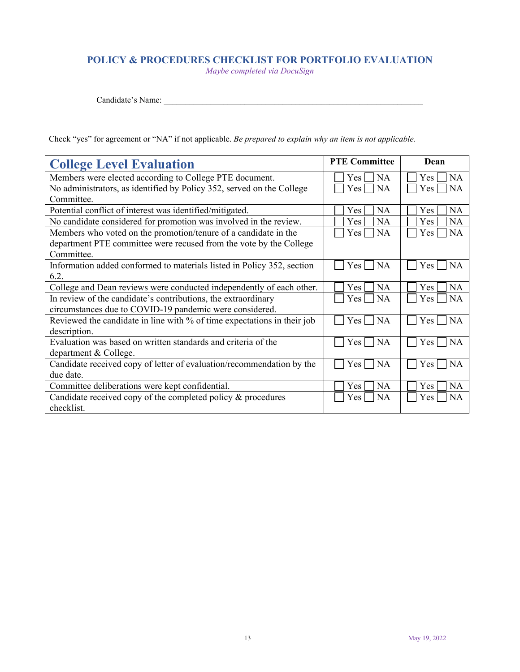# **POLICY & PROCEDURES CHECKLIST FOR PORTFOLIO EVALUATION**

*Maybe completed via DocuSign* 

Candidate's Name: \_\_\_\_\_\_\_\_\_\_\_\_\_\_\_\_\_\_\_\_\_\_\_\_\_\_\_\_\_\_\_\_\_\_\_\_\_\_\_\_\_\_\_\_\_\_\_\_\_\_\_\_\_\_\_\_\_\_\_\_\_

Check "yes" for agreement or "NA" if not applicable. *Be prepared to explain why an item is not applicable.*

| <b>College Level Evaluation</b>                                         | <b>PTE Committee</b> | Dean                    |
|-------------------------------------------------------------------------|----------------------|-------------------------|
| Members were elected according to College PTE document.                 | <b>NA</b><br>Yes     | Yes<br><b>NA</b>        |
| No administrators, as identified by Policy 352, served on the College   | <b>NA</b><br>Yes     | Yes<br><b>NA</b>        |
| Committee.                                                              |                      |                         |
| Potential conflict of interest was identified/mitigated.                | <b>NA</b><br>Yes     | Yes<br><b>NA</b>        |
| No candidate considered for promotion was involved in the review.       | <b>NA</b><br>Yes     | Yes<br><b>NA</b>        |
| Members who voted on the promotion/tenure of a candidate in the         | <b>NA</b><br>Yes     | <b>NA</b><br>Yes        |
| department PTE committee were recused from the vote by the College      |                      |                         |
| Committee.                                                              |                      |                         |
| Information added conformed to materials listed in Policy 352, section  | <b>NA</b><br>Yes     | Yes<br><b>NA</b>        |
| 6.2.                                                                    |                      |                         |
| College and Dean reviews were conducted independently of each other.    | <b>NA</b><br>Yes     | <b>NA</b><br>Yes        |
| In review of the candidate's contributions, the extraordinary           | NA<br>Yes            | <b>NA</b><br>Yes        |
| circumstances due to COVID-19 pandemic were considered.                 |                      |                         |
| Reviewed the candidate in line with % of time expectations in their job | <b>NA</b><br>Yes.    | Yes<br><b>NA</b>        |
| description.                                                            |                      |                         |
| Evaluation was based on written standards and criteria of the           | <b>NA</b><br>$Yes$   | Yes<br><b>NA</b>        |
| department & College.                                                   |                      |                         |
| Candidate received copy of letter of evaluation/recommendation by the   | <b>NA</b><br>Yes     | <b>NA</b><br><b>Yes</b> |
| due date.                                                               |                      |                         |
| Committee deliberations were kept confidential.                         | <b>NA</b><br>Yes     | Yes<br><b>NA</b>        |
| Candidate received copy of the completed policy $\&$ procedures         | <b>NA</b><br>Yes     | <b>NA</b><br>Yes        |
| checklist.                                                              |                      |                         |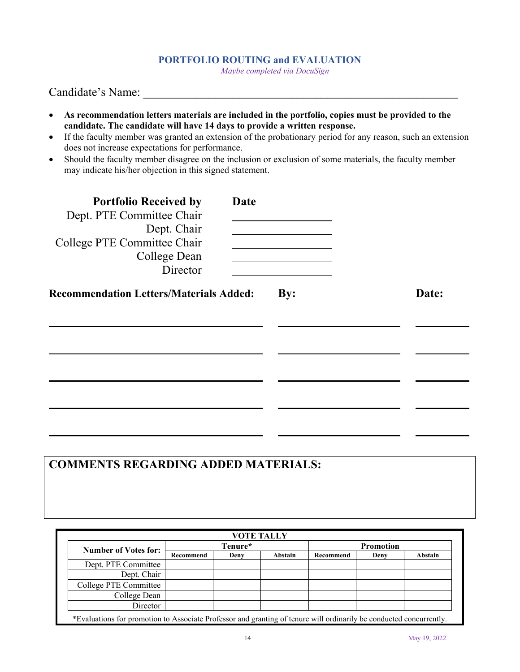#### **PORTFOLIO ROUTING and EVALUATION**

*Maybe completed via DocuSign* 

Candidate's Name:

- **As recommendation letters materials are included in the portfolio, copies must be provided to the candidate. The candidate will have 14 days to provide a written response.**
- If the faculty member was granted an extension of the probationary period for any reason, such an extension does not increase expectations for performance.
- Should the faculty member disagree on the inclusion or exclusion of some materials, the faculty member may indicate his/her objection in this signed statement.

| <b>Portfolio Received by</b><br>Dept. PTE Committee Chair<br>Dept. Chair<br>College PTE Committee Chair<br>College Dean<br>Director | Date |     |       |
|-------------------------------------------------------------------------------------------------------------------------------------|------|-----|-------|
| <b>Recommendation Letters/Materials Added:</b>                                                                                      |      | By: | Date: |
|                                                                                                                                     |      |     |       |
|                                                                                                                                     |      |     |       |
|                                                                                                                                     |      |     |       |

# **COMMENTS REGARDING ADDED MATERIALS:**

| <b>Number of Votes for:</b> | Tenure*   |      | <b>Promotion</b> |           |      |         |
|-----------------------------|-----------|------|------------------|-----------|------|---------|
|                             | Recommend | Deny | Abstain          | Recommend | Deny | Abstain |
| Dept. PTE Committee         |           |      |                  |           |      |         |
| Dept. Chair                 |           |      |                  |           |      |         |
| College PTE Committee       |           |      |                  |           |      |         |
| College Dean                |           |      |                  |           |      |         |
| Director                    |           |      |                  |           |      |         |